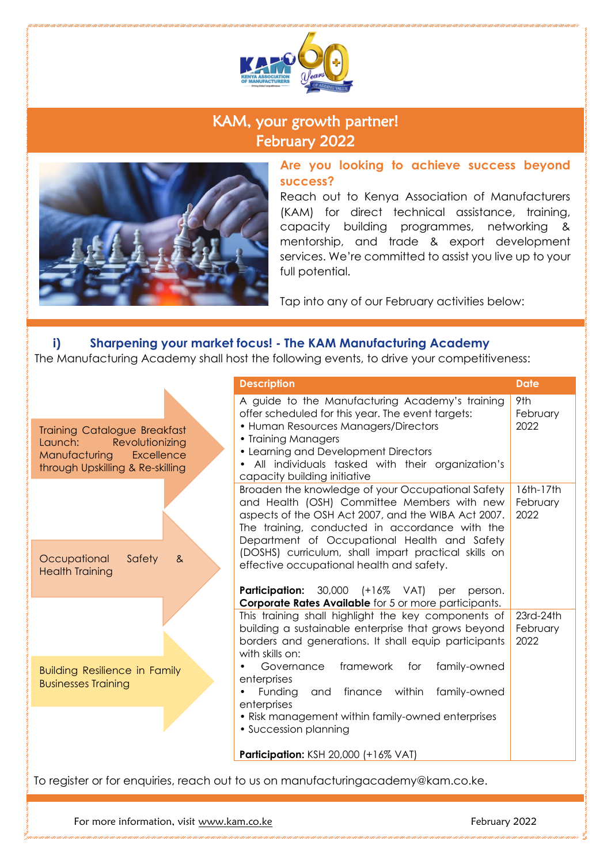

# KAM, your growth partner! February 2022



**Are you looking to achieve success beyond success?**

 Reach out to Kenya Association of Manufacturers (KAM) for direct technical assistance, training, capacity building programmes, networking & mentorship, and trade & export development services. We're committed to assist you live up to your full potential.

Tap into any of our February activities below:

#### **i) Sharpening your market focus! - The KAM Manufacturing Academy**

The Manufacturing Academy shall host the following events, to drive your competitiveness:

|                                                                                                                                      | <b>Description</b>                                                                                                                                                                                                                                                                              | <b>Date</b>                   |  |  |
|--------------------------------------------------------------------------------------------------------------------------------------|-------------------------------------------------------------------------------------------------------------------------------------------------------------------------------------------------------------------------------------------------------------------------------------------------|-------------------------------|--|--|
| <b>Training Catalogue Breakfast</b><br>Revolutionizing<br>Launch:<br>Excellence<br>Manufacturing<br>through Upskilling & Re-skilling | A guide to the Manufacturing Academy's training<br>offer scheduled for this year. The event targets:<br>• Human Resources Managers/Directors<br>• Training Managers<br>• Learning and Development Directors<br>All individuals tasked with their organization's<br>capacity building initiative | 9th<br>February<br>2022       |  |  |
|                                                                                                                                      | Broaden the knowledge of your Occupational Safety<br>and Health (OSH) Committee Members with new<br>aspects of the OSH Act 2007, and the WIBA Act 2007.<br>The training, conducted in accordance with the<br>Department of Occupational Health and Safety                                       | 16th-17th<br>February<br>2022 |  |  |
| Safety<br>Occupational<br>8 <sub>x</sub><br><b>Health Training</b>                                                                   | (DOSHS) curriculum, shall impart practical skills on<br>effective occupational health and safety.<br><b>Participation:</b> 30,000 (+16%)<br>VAT)<br>per<br>person.                                                                                                                              |                               |  |  |
|                                                                                                                                      | <b>Corporate Rates Available</b> for 5 or more participants.<br>This training shall highlight the key components of<br>building a sustainable enterprise that grows beyond<br>borders and generations. It shall equip participants<br>with skills on:                                           | 23rd-24th<br>February<br>2022 |  |  |
| <b>Building Resilience in Family</b><br><b>Businesses Training</b>                                                                   | framework<br>family-owned<br>Governance<br>for<br>enterprises<br>finance within<br>family-owned<br>Funding<br>and<br>enterprises                                                                                                                                                                |                               |  |  |
|                                                                                                                                      | • Risk management within family-owned enterprises<br>• Succession planning<br><b>Participation: KSH 20,000 (+16% VAT)</b>                                                                                                                                                                       |                               |  |  |
| To register or for enquiries, reach out to us on manufacturingacademy@kam.co.ke.                                                     |                                                                                                                                                                                                                                                                                                 |                               |  |  |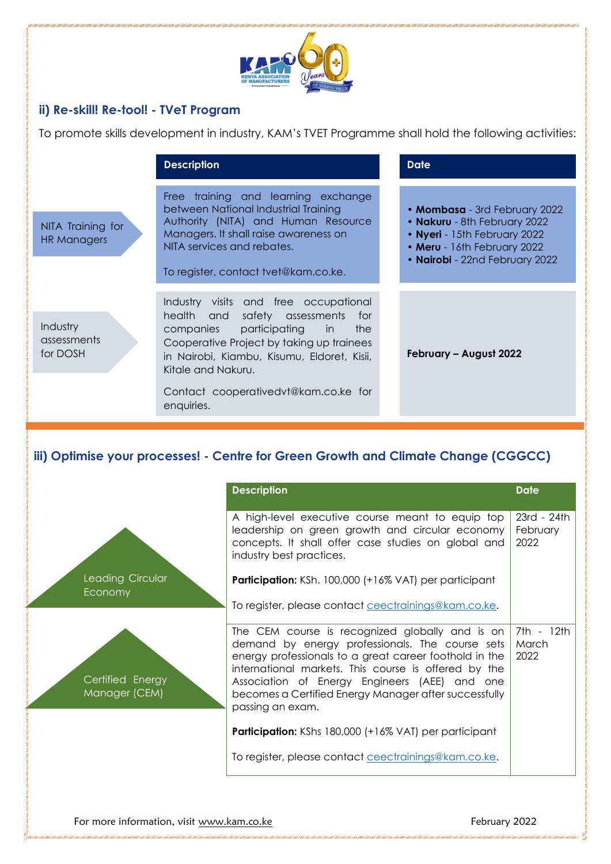

### **ii) Re-skill! Re-tool! - TVeT Program**

To promote skills development in industry, KAM's TVET Programme shall hold the following activities:

|                                     | <b>Description</b>                                                                                                                                                                                                                                                                      | <b>Date</b>                                                                                                                                                    |  |
|-------------------------------------|-----------------------------------------------------------------------------------------------------------------------------------------------------------------------------------------------------------------------------------------------------------------------------------------|----------------------------------------------------------------------------------------------------------------------------------------------------------------|--|
| NITA Training for<br>HR Managers    | Free training and learning exchange<br>between National Industrial Training<br>Authority (NITA) and Human Resource<br>Managers. It shall raise awareness on<br>NITA services and rebates.<br>To register, contact tvet@kam.co.ke.                                                       | • Mombasa - 3rd February 2022<br>• Nakuru - 8th February 2022<br>• Nyeri - 15th February 2022<br>• Meru - 16th February 2022<br>• Nairobi - 22nd February 2022 |  |
| Industry<br>assessments<br>for DOSH | Industry visits and free occupational<br>health and safety assessments<br>for<br>companies participating in the<br>Cooperative Project by taking up trainees<br>in Nairobi, Kiambu, Kisumu, Eldoret, Kisii,<br>Kitale and Nakuru.<br>Contact cooperativedvt@kam.co.ke for<br>enquiries. | February - August 2022                                                                                                                                         |  |

## **iii) Optimise your processes! - Centre for Green Growth and Climate Change (CGGCC)**

|                                   | <b>Description</b>                                                                                                                                                                                                                                                                                                                                 | <b>Date</b>                     |
|-----------------------------------|----------------------------------------------------------------------------------------------------------------------------------------------------------------------------------------------------------------------------------------------------------------------------------------------------------------------------------------------------|---------------------------------|
|                                   | A high-level executive course meant to equip top<br>leadership on green growth and circular economy<br>concepts. It shall offer case studies on global and<br>industry best practices.                                                                                                                                                             | 23rd - 24th<br>February<br>2022 |
| Leading Circular<br>Economy       | <b>Participation:</b> KSh. 100,000 (+16% VAT) per participant                                                                                                                                                                                                                                                                                      |                                 |
|                                   | To register, please contact ceectrainings@kam.co.ke.                                                                                                                                                                                                                                                                                               |                                 |
| Certified Energy<br>Manager (CEM) | The CEM course is recognized globally and is on<br>demand by energy professionals. The course sets<br>energy professionals to a great career foothold in the<br>international markets. This course is offered by the<br>Association of Energy Engineers (AEE) and one<br>becomes a Certified Energy Manager after successfully<br>passing an exam. | 7th - 12th<br>March<br>2022     |
|                                   | <b>Participation:</b> KShs 180,000 (+16% VAT) per participant                                                                                                                                                                                                                                                                                      |                                 |
|                                   | To register, please contact ceectrainings@kam.co.ke.                                                                                                                                                                                                                                                                                               |                                 |
|                                   |                                                                                                                                                                                                                                                                                                                                                    |                                 |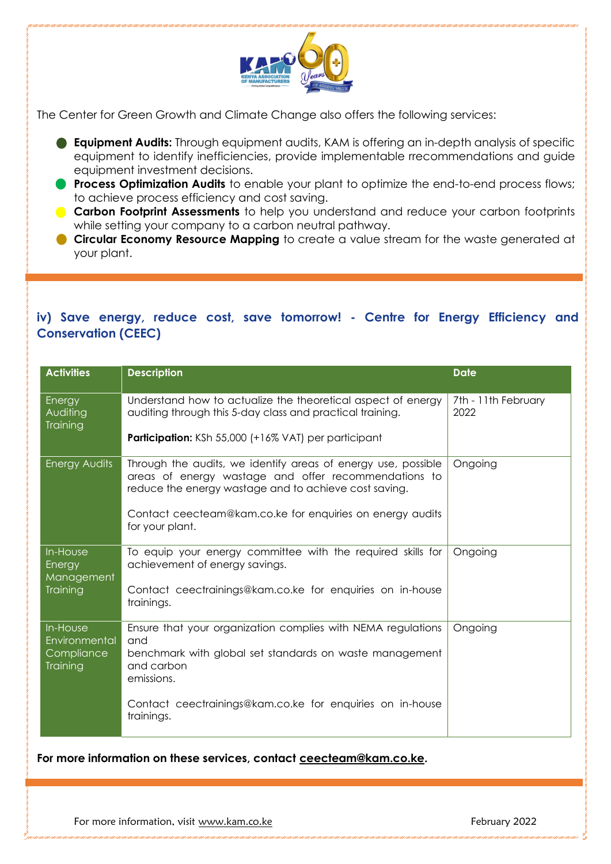

The Center for Green Growth and Climate Change also offers the following services:

- **Equipment Audits:** Through equipment audits, KAM is offering an in-depth analysis of specific equipment to identify inefficiencies, provide implementable rrecommendations and guide equipment investment decisions.
- **Process Optimization Audits** to enable your plant to optimize the end-to-end process flows; to achieve process efficiency and cost saving.
- **Carbon Footprint Assessments** to help you understand and reduce your carbon footprints while setting your company to a carbon neutral pathway.
- **Circular Economy Resource Mapping** to create a value stream for the waste generated at your plant.

### **iv) Save energy, reduce cost, save tomorrow! - Centre for Energy Efficiency and Conservation (CEEC)**

| <b>Activities</b>                                   | <b>Description</b>                                                                                                                                                                                                                                             | <b>Date</b>                 |
|-----------------------------------------------------|----------------------------------------------------------------------------------------------------------------------------------------------------------------------------------------------------------------------------------------------------------------|-----------------------------|
| Energy<br>Auditing<br><b>Training</b>               | Understand how to actualize the theoretical aspect of energy<br>auditing through this 5-day class and practical training.                                                                                                                                      | 7th - 11th February<br>2022 |
|                                                     | <b>Participation:</b> KSh 55,000 (+16% VAT) per participant                                                                                                                                                                                                    |                             |
| Energy Audits                                       | Through the audits, we identify areas of energy use, possible<br>areas of energy wastage and offer recommendations to<br>reduce the energy wastage and to achieve cost saving.<br>Contact ceecteam@kam.co.ke for enquiries on energy audits<br>for your plant. | Ongoing                     |
| In-House<br>Energy<br>Management                    | To equip your energy committee with the required skills for<br>achievement of energy savings.                                                                                                                                                                  | Ongoing                     |
| Training                                            | Contact ceectrainings@kam.co.ke for enquiries on in-house<br>trainings.                                                                                                                                                                                        |                             |
| In-House<br>Environmental<br>Compliance<br>Training | Ensure that your organization complies with NEMA regulations<br>and<br>benchmark with global set standards on waste management<br>and carbon<br>emissions.                                                                                                     | Ongoing                     |
|                                                     | Contact ceectrainings@kam.co.ke for enquiries on in-house<br>trainings.                                                                                                                                                                                        |                             |

**For more information on these services, contact [ceecteam@kam.co.ke.](mailto:ceecteam@kam.co.ke)**